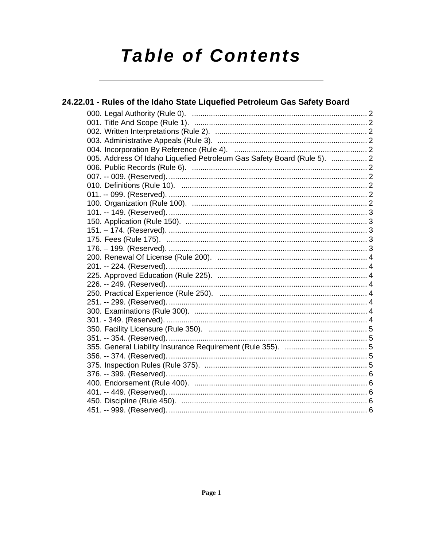# **Table of Contents**

| 24.22.01 - Rules of the Idaho State Liquefied Petroleum Gas Safety Board |  |
|--------------------------------------------------------------------------|--|
|                                                                          |  |
|                                                                          |  |
|                                                                          |  |
|                                                                          |  |
|                                                                          |  |
| 005. Address Of Idaho Liquefied Petroleum Gas Safety Board (Rule 5).  2  |  |
|                                                                          |  |
|                                                                          |  |
|                                                                          |  |
|                                                                          |  |
|                                                                          |  |
|                                                                          |  |
|                                                                          |  |
|                                                                          |  |
|                                                                          |  |
|                                                                          |  |
|                                                                          |  |
|                                                                          |  |
|                                                                          |  |
|                                                                          |  |
|                                                                          |  |
|                                                                          |  |
|                                                                          |  |
|                                                                          |  |
|                                                                          |  |
|                                                                          |  |
|                                                                          |  |
|                                                                          |  |
|                                                                          |  |
|                                                                          |  |
|                                                                          |  |
|                                                                          |  |
|                                                                          |  |
|                                                                          |  |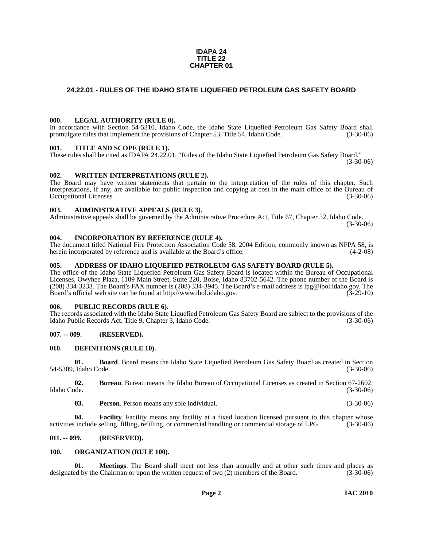#### **IDAPA 24 TITLE 22 CHAPTER 01**

#### <span id="page-1-0"></span>**24.22.01 - RULES OF THE IDAHO STATE LIQUEFIED PETROLEUM GAS SAFETY BOARD**

#### <span id="page-1-1"></span>**000. LEGAL AUTHORITY (RULE 0).**

In accordance with Section 54-5310, Idaho Code, the Idaho State Liquefied Petroleum Gas Safety Board shall promulgate rules that implement the provisions of Chapter 53, Title 54, Idaho Code. (3-30-06)

#### <span id="page-1-2"></span>**001. TITLE AND SCOPE (RULE 1).**

These rules shall be cited as IDAPA 24.22.01, "Rules of the Idaho State Liquefied Petroleum Gas Safety Board." (3-30-06)

#### <span id="page-1-3"></span>**002. WRITTEN INTERPRETATIONS (RULE 2).**

The Board may have written statements that pertain to the interpretation of the rules of this chapter. Such interpretations, if any, are available for public inspection and copying at cost in the main office of the Bureau of Occupational Licenses. (3-30-06)

#### <span id="page-1-4"></span>**003. ADMINISTRATIVE APPEALS (RULE 3).**

Administrative appeals shall be governed by the Administrative Procedure Act, Title 67, Chapter 52, Idaho Code. (3-30-06)

#### <span id="page-1-5"></span>**004. INCORPORATION BY REFERENCE (RULE 4).**

The document titled National Fire Protection Association Code 58, 2004 Edition, commonly known as NFPA 58, is herein incorporated by reference and is available at the Board's office. (4-2-08)

#### <span id="page-1-6"></span>**005. ADDRESS OF IDAHO LIQUEFIED PETROLEUM GAS SAFETY BOARD (RULE 5).**

[The office of the Idaho State Liquefied Petroleum Gas Safety Board is located within the Bureau of Occupational](mailto:lpg@ibol.idaho.gov)  Licenses, Owyhee Plaza, 1109 Main Street, Suite 220, Boise, Idaho 83702-5642. The phone number of the Board is (208) 334-3233. The Board's FAX number is (208) 334-3945. The Board's e-mail address is lpg@ibol.idaho.gov. The [Board's official web site can be found at](mailto:lpg@ibol.idaho.gov) [http://www.ibol.idaho.gov. \(3-29-10\)](http://www.ibol.idaho.gov)

#### <span id="page-1-7"></span>**006. PUBLIC RECORDS (RULE 6).**

The records associated with the Idaho State Liquefied Petroleum Gas Safety Board are subject to the provisions of the Idaho Public Records Act. Title 9, Chapter 3, Idaho Code. (3-30-06)

#### <span id="page-1-8"></span>**007. -- 009. (RESERVED).**

#### <span id="page-1-12"></span><span id="page-1-9"></span>**010. DEFINITIONS (RULE 10).**

**01. Board**. Board means the Idaho State Liquefied Petroleum Gas Safety Board as created in Section 54-5309, Idaho Code. (3-30-06)

**02. Bureau**. Bureau means the Idaho Bureau of Occupational Licenses as created in Section 67-2602, Idaho Code. (3-30-06)

**03. Person**. Person means any sole individual. (3-30-06)

**04. Facility**. Facility means any facility at a fixed location licensed pursuant to this chapter whose activities include selling, filling, refilling, or commercial handling or commercial storage of LPG. (3-30-06)

#### <span id="page-1-10"></span>**011. -- 099. (RESERVED).**

#### <span id="page-1-14"></span><span id="page-1-11"></span>**100. ORGANIZATION (RULE 100).**

<span id="page-1-13"></span>**01. Meetings**. The Board shall meet not less than annually and at other such times and places as designated by the Chairman or upon the written request of two (2) members of the Board. (3-30-06)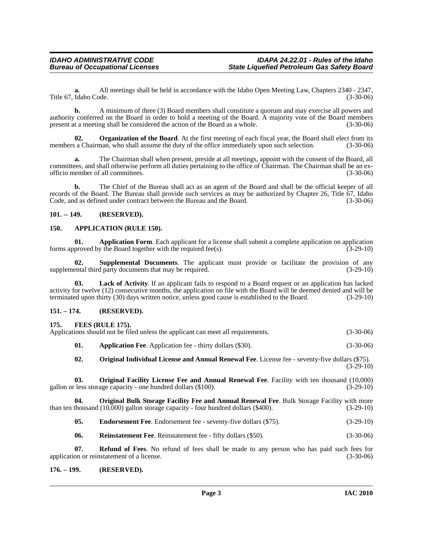**a.** All meetings shall be held in accordance with the Idaho Open Meeting Law, Chapters 2340 - 2347, Idaho Code. (3-30-06) Title 67, Idaho Code.

**b.** A minimum of three (3) Board members shall constitute a quorum and may exercise all powers and authority conferred on the Board in order to hold a meeting of the Board. A majority vote of the Board members present at a meeting shall be considered the action of the Board as a whole.

<span id="page-2-11"></span>**02.** Organization of the Board. At the first meeting of each fiscal year, the Board shall elect from its members a Chairman, who shall assume the duty of the office immediately upon such selection. (3-30-06)

**a.** The Chairman shall when present, preside at all meetings, appoint with the consent of the Board, all committees, and shall otherwise perform all duties pertaining to the office of Chairman. The Chairman shall be an exofficio member of all committees. (3-30-06)

**b.** The Chief of the Bureau shall act as an agent of the Board and shall be the official keeper of all records of the Board. The Bureau shall provide such services as may be authorized by Chapter 26, Title 67, Idaho Code, and as defined under contract between the Bureau and the Board. (3-30-06)

#### <span id="page-2-0"></span>**101. -- 149. (RESERVED).**

#### <span id="page-2-7"></span><span id="page-2-1"></span>**150. APPLICATION (RULE 150).**

<span id="page-2-6"></span>**01. Application Form**. Each applicant for a license shall submit a complete application on application proved by the Board together with the required fee(s). forms approved by the Board together with the required fee(s).

<span id="page-2-17"></span>**02. Supplemental Documents**. The applicant must provide or facilitate the provision of any ental third party documents that may be required. (3-29-10) supplemental third party documents that may be required.

<span id="page-2-10"></span>**03. Lack of Activity**. If an applicant fails to respond to a Board request or an application has lacked activity for twelve (12) consecutive months, the application on file with the Board will be deemed denied and will be terminated upon thirty (30) days written notice, unless good cause is established to the Board. (3-29-10)

#### <span id="page-2-2"></span>**151. – 174. (RESERVED).**

#### <span id="page-2-9"></span><span id="page-2-3"></span>**175. FEES (RULE 175).**

<span id="page-2-14"></span><span id="page-2-5"></span>

|     | Applications should not be filed unless the applicant can meet all requirements.                                                                                                        | $(3-30-06)$ |
|-----|-----------------------------------------------------------------------------------------------------------------------------------------------------------------------------------------|-------------|
| 01. | <b>Application Fee.</b> Application fee - thirty dollars (\$30).                                                                                                                        | $(3-30-06)$ |
| 02. | <b>Original Individual License and Annual Renewal Fee.</b> License fee - seventy-five dollars (\$75).                                                                                   | $(3-29-10)$ |
| 03. | Original Facility License Fee and Annual Renewal Fee. Facility with ten thousand (10,000)<br>gallon or less storage capacity - one hundred dollars (\$100).                             | $(3-29-10)$ |
| 04. | <b>Original Bulk Storage Facility Fee and Annual Renewal Fee. Bulk Storage Facility with more</b><br>than ten thousand (10,000) gallon storage capacity - four hundred dollars (\$400). | $(3-29-10)$ |

<span id="page-2-13"></span><span id="page-2-12"></span><span id="page-2-8"></span>**05.** Endorsement Fee. Endorsement fee - seventy-five dollars (\$75). (3-29-10)

<span id="page-2-16"></span><span id="page-2-15"></span>**06. Reinstatement Fee**. Reinstatement fee - fifty dollars (\$50). (3-30-06)

**07. Refund of Fees**. No refund of fees shall be made to any person who has paid such fees for on or reinstatement of a license. (3-30-06) application or reinstatement of a license.

#### <span id="page-2-4"></span>**176. – 199. (RESERVED).**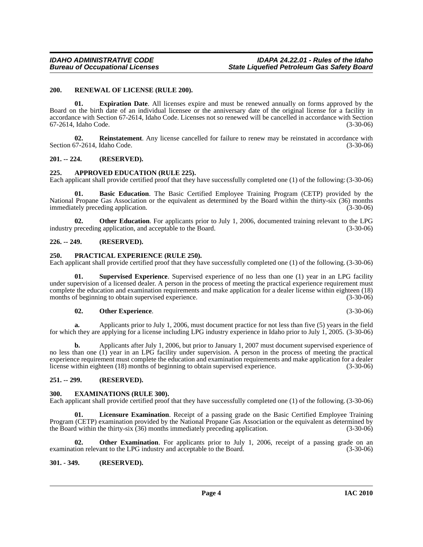#### <span id="page-3-15"></span><span id="page-3-0"></span>**200. RENEWAL OF LICENSE (RULE 200).**

<span id="page-3-11"></span>**01. Expiration Date**. All licenses expire and must be renewed annually on forms approved by the Board on the birth date of an individual licensee or the anniversary date of the original license for a facility in accordance with Section 67-2614, Idaho Code. Licenses not so renewed will be cancelled in accordance with Section 67-2614, Idaho Code.

<span id="page-3-14"></span>**02. Reinstatement**. Any license cancelled for failure to renew may be reinstated in accordance with Section 67-2614, Idaho Code. (3-30-06)

#### <span id="page-3-1"></span>**201. -- 224. (RESERVED).**

#### <span id="page-3-8"></span><span id="page-3-2"></span>**225. APPROVED EDUCATION (RULE 225).**

Each applicant shall provide certified proof that they have successfully completed one (1) of the following: (3-30-06)

<span id="page-3-9"></span>**01. Basic Education**. The Basic Certified Employee Training Program (CETP) provided by the National Propane Gas Association or the equivalent as determined by the Board within the thirty-six (36) months immediately preceding application. (3-30-06)

**02. Other Education**. For applicants prior to July 1, 2006, documented training relevant to the LPG preceding application, and acceptable to the Board. (3-30-06) industry preceding application, and acceptable to the Board.

#### <span id="page-3-3"></span>**226. -- 249. (RESERVED).**

#### <span id="page-3-13"></span><span id="page-3-4"></span>**250. PRACTICAL EXPERIENCE (RULE 250).**

Each applicant shall provide certified proof that they have successfully completed one (1) of the following. (3-30-06)

Supervised Experience. Supervised experience of no less than one (1) year in an LPG facility under supervision of a licensed dealer. A person in the process of meeting the practical experience requirement must complete the education and examination requirements and make application for a dealer license within eighteen (18) months of beginning to obtain supervised experience. (3-30-06) (3-30-06)

#### <span id="page-3-16"></span><span id="page-3-12"></span>**02. Other Experience**. (3-30-06)

**a.** Applicants prior to July 1, 2006, must document practice for not less than five (5) years in the field for which they are applying for a license including LPG industry experience in Idaho prior to July 1, 2005. (3-30-06)

**b.** Applicants after July 1, 2006, but prior to January 1, 2007 must document supervised experience of no less than one (1) year in an LPG facility under supervision. A person in the process of meeting the practical experience requirement must complete the education and examination requirements and make application for a dealer license within eighteen (18) months of beginning to obtain supervised experience. (3-30-06)

#### <span id="page-3-5"></span>**251. -- 299. (RESERVED).**

#### <span id="page-3-10"></span><span id="page-3-6"></span>**300. EXAMINATIONS (RULE 300).**

Each applicant shall provide certified proof that they have successfully completed one (1) of the following. (3-30-06)

**01. Licensure Examination**. Receipt of a passing grade on the Basic Certified Employee Training Program (CETP) examination provided by the National Propane Gas Association or the equivalent as determined by the Board within the thirty-six (36) months immediately preceding application. (3-30-06)

**02.** Other Examination. For applicants prior to July 1, 2006, receipt of a passing grade on an examination relevant to the LPG industry and acceptable to the Board. (3-30-06)

#### <span id="page-3-7"></span>**301. - 349. (RESERVED).**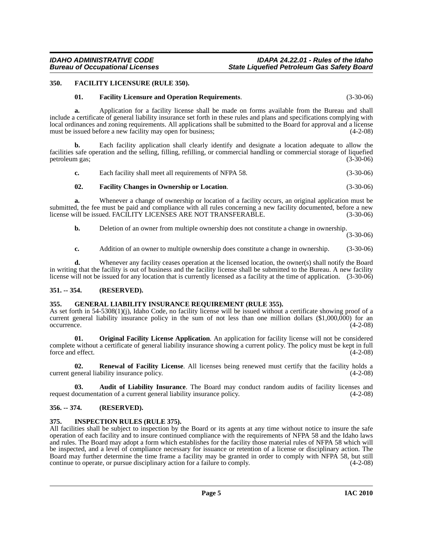#### <span id="page-4-0"></span>**350. FACILITY LICENSURE (RULE 350).**

#### <span id="page-4-8"></span><span id="page-4-7"></span>**01. Facility Licensure and Operation Requirements**. (3-30-06)

**a.** Application for a facility license shall be made on forms available from the Bureau and shall include a certificate of general liability insurance set forth in these rules and plans and specifications complying with local ordinances and zoning requirements. All applications shall be submitted to the Board for approval and a license must be issued before a new facility may open for business; (4-2-08)

**b.** Each facility application shall clearly identify and designate a location adequate to allow the facilities safe operation and the selling, filling, refilling, or commercial handling or commercial storage of liquefied petroleum gas; (3-30-06)

|  | Each facility shall meet all requirements of NFPA 58. | $(3-30-06)$ |
|--|-------------------------------------------------------|-------------|
|--|-------------------------------------------------------|-------------|

#### <span id="page-4-6"></span>**02. Facility Changes in Ownership or Location**. (3-30-06)

**a.** Whenever a change of ownership or location of a facility occurs, an original application must be submitted, the fee must be paid and compliance with all rules concerning a new facility documented, before a new license will be issued. FACILITY LICENSES ARE NOT TRANSFERABLE. (3-30-06)

**b.** Deletion of an owner from multiple ownership does not constitute a change in ownership.

(3-30-06)

**c.** Addition of an owner to multiple ownership does constitute a change in ownership. (3-30-06)

**d.** Whenever any facility ceases operation at the licensed location, the owner(s) shall notify the Board in writing that the facility is out of business and the facility license shall be submitted to the Bureau. A new facility license will not be issued for any location that is currently licensed as a facility at the time of application. (3-30-06)

#### <span id="page-4-1"></span>**351. -- 354. (RESERVED).**

#### <span id="page-4-9"></span><span id="page-4-2"></span>**355. GENERAL LIABILITY INSURANCE REQUIREMENT (RULE 355).**

As set forth in 54-5308(1)(j), Idaho Code, no facility license will be issued without a certificate showing proof of a current general liability insurance policy in the sum of not less than one million dollars (\$1,000,000) for an occurrence. (4-2-08)

<span id="page-4-11"></span>**01. Original Facility License Application**. An application for facility license will not be considered complete without a certificate of general liability insurance showing a current policy. The policy must be kept in full force and effect.

<span id="page-4-12"></span>**02. Renewal of Facility License**. All licenses being renewed must certify that the facility holds a current general liability insurance policy. (4-2-08)

<span id="page-4-5"></span>**03.** Audit of Liability Insurance. The Board may conduct random audits of facility licenses and locumentation of a current general liability insurance policy. (4-2-08) request documentation of a current general liability insurance policy.

#### <span id="page-4-3"></span>**356. -- 374. (RESERVED).**

#### <span id="page-4-10"></span><span id="page-4-4"></span>**375. INSPECTION RULES (RULE 375).**

All facilities shall be subject to inspection by the Board or its agents at any time without notice to insure the safe operation of each facility and to insure continued compliance with the requirements of NFPA 58 and the Idaho laws and rules. The Board may adopt a form which establishes for the facility those material rules of NFPA 58 which will be inspected, and a level of compliance necessary for issuance or retention of a license or disciplinary action. The Board may further determine the time frame a facility may be granted in order to comply with NFPA 58, but still continue to operate, or pursue disciplinary action for a failure to comply. (4-2-08) continue to operate, or pursue disciplinary action for a failure to comply.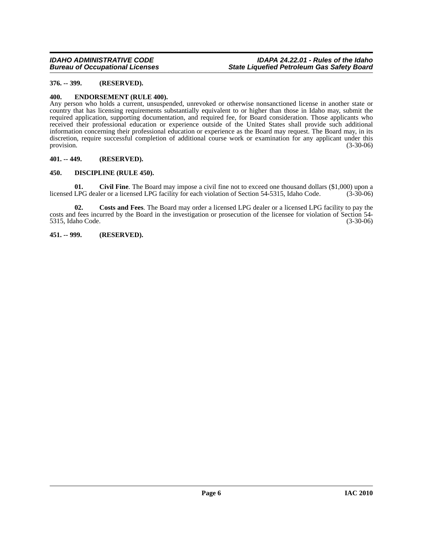#### <span id="page-5-0"></span>**376. -- 399. (RESERVED).**

#### <span id="page-5-5"></span><span id="page-5-1"></span>**400. ENDORSEMENT (RULE 400).**

Any person who holds a current, unsuspended, unrevoked or otherwise nonsanctioned license in another state or country that has licensing requirements substantially equivalent to or higher than those in Idaho may, submit the required application, supporting documentation, and required fee, for Board consideration. Those applicants who received their professional education or experience outside of the United States shall provide such additional information concerning their professional education or experience as the Board may request. The Board may, in its discretion, require successful completion of additional course work or examination for any applicant under this provision.  $(3-30-06)$ 

#### <span id="page-5-2"></span>**401. -- 449. (RESERVED).**

#### <span id="page-5-3"></span>**450. DISCIPLINE (RULE 450).**

**01.** Civil Fine. The Board may impose a civil fine not to exceed one thousand dollars (\$1,000) upon a LPG dealer or a licensed LPG facility for each violation of Section 54-5315, Idaho Code. (3-30-06) licensed LPG dealer or a licensed LPG facility for each violation of Section 54-5315, Idaho Code.

**02. Costs and Fees**. The Board may order a licensed LPG dealer or a licensed LPG facility to pay the costs and fees incurred by the Board in the investigation or prosecution of the licensee for violation of Section 54- 5315, Idaho Code. (3-30-06)

#### <span id="page-5-4"></span>**451. -- 999. (RESERVED).**